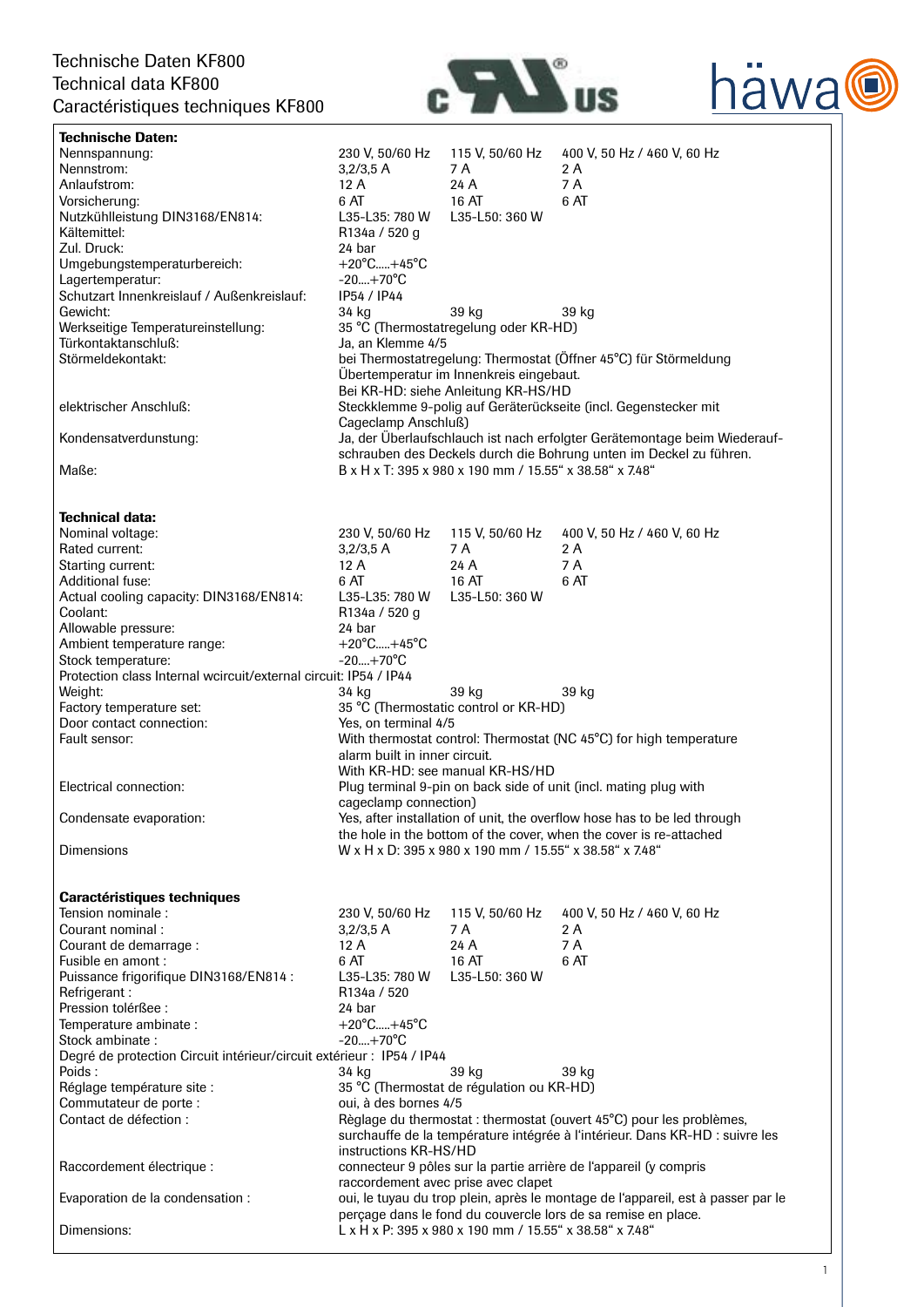

| Technische Daten KF800                                                |                                                                                                     |                                                         |                                                                                  |  |  |
|-----------------------------------------------------------------------|-----------------------------------------------------------------------------------------------------|---------------------------------------------------------|----------------------------------------------------------------------------------|--|--|
| <b>Technical data KF800</b>                                           |                                                                                                     |                                                         |                                                                                  |  |  |
| Caractéristiques techniques KF800                                     |                                                                                                     |                                                         |                                                                                  |  |  |
| <b>Technische Daten:</b>                                              |                                                                                                     |                                                         |                                                                                  |  |  |
| Nennspannung:                                                         | 230 V, 50/60 Hz                                                                                     | 115 V, 50/60 Hz                                         | 400 V, 50 Hz / 460 V, 60 Hz                                                      |  |  |
| Nennstrom:                                                            | $3,2/3,5$ A                                                                                         | 7 A                                                     | 2 A                                                                              |  |  |
| Anlaufstrom:                                                          | 12A                                                                                                 | 24 A                                                    | 7 A                                                                              |  |  |
| Vorsicherung:                                                         | 6 AT                                                                                                | 16 AT                                                   | 6 AT                                                                             |  |  |
| Nutzkühlleistung DIN3168/EN814:                                       | L35-L35: 780 W                                                                                      | L35-L50: 360 W                                          |                                                                                  |  |  |
| Kältemittel:                                                          | R <sub>134a</sub> / 520 g                                                                           |                                                         |                                                                                  |  |  |
| Zul. Druck:                                                           | 24 bar                                                                                              |                                                         |                                                                                  |  |  |
| Umgebungstemperaturbereich:                                           | $+20^{\circ}$ C $+45^{\circ}$ C                                                                     |                                                         |                                                                                  |  |  |
| Lagertemperatur:                                                      | $-20+70^{\circ}C$                                                                                   |                                                         |                                                                                  |  |  |
| Schutzart Innenkreislauf / Außenkreislauf:                            | IP54 / IP44                                                                                         |                                                         |                                                                                  |  |  |
| Gewicht:                                                              | 34 kg                                                                                               | 39 kg                                                   | 39 kg                                                                            |  |  |
| Werkseitige Temperatureinstellung:                                    |                                                                                                     | 35 °C (Thermostatregelung oder KR-HD)                   |                                                                                  |  |  |
| Türkontaktanschluß:                                                   | Ja, an Klemme 4/5                                                                                   |                                                         |                                                                                  |  |  |
| Störmeldekontakt:                                                     |                                                                                                     |                                                         | bei Thermostatregelung: Thermostat (Öffner 45°C) für Störmeldung                 |  |  |
|                                                                       |                                                                                                     | Übertemperatur im Innenkreis eingebaut.                 |                                                                                  |  |  |
|                                                                       |                                                                                                     | Bei KR-HD: siehe Anleitung KR-HS/HD                     |                                                                                  |  |  |
| elektrischer Anschluß:                                                |                                                                                                     |                                                         | Steckklemme 9-polig auf Geräterückseite (incl. Gegenstecker mit                  |  |  |
|                                                                       | Cageclamp Anschluß)                                                                                 |                                                         |                                                                                  |  |  |
| Kondensatverdunstung:                                                 |                                                                                                     |                                                         | Ja, der Überlaufschlauch ist nach erfolgter Gerätemontage beim Wiederauf-        |  |  |
|                                                                       |                                                                                                     |                                                         | schrauben des Deckels durch die Bohrung unten im Deckel zu führen.               |  |  |
| Maße:                                                                 |                                                                                                     | B x H x T: 395 x 980 x 190 mm / 15.55" x 38.58" x 7.48" |                                                                                  |  |  |
|                                                                       |                                                                                                     |                                                         |                                                                                  |  |  |
|                                                                       |                                                                                                     |                                                         |                                                                                  |  |  |
| Technical data:                                                       |                                                                                                     |                                                         |                                                                                  |  |  |
| Nominal voltage:                                                      | 230 V, 50/60 Hz                                                                                     | 115 V, 50/60 Hz                                         | 400 V, 50 Hz / 460 V, 60 Hz                                                      |  |  |
| Rated current:                                                        | 3,2/3,5 A                                                                                           | 7 A                                                     | 2 A                                                                              |  |  |
| Starting current:                                                     | 12 A                                                                                                | 24 A                                                    | 7A                                                                               |  |  |
| Additional fuse:                                                      | 6 AT                                                                                                | 16 AT                                                   | 6 AT                                                                             |  |  |
| Actual cooling capacity: DIN3168/EN814:                               | L35-L35: 780 W                                                                                      | L35-L50: 360 W                                          |                                                                                  |  |  |
| Coolant:                                                              | R134a / 520 g                                                                                       |                                                         |                                                                                  |  |  |
| Allowable pressure:                                                   | 24 bar                                                                                              |                                                         |                                                                                  |  |  |
| Ambient temperature range:                                            | $+20^{\circ}$ C $+45^{\circ}$ C                                                                     |                                                         |                                                                                  |  |  |
| Stock temperature:                                                    | $-20+70^{\circ}C$                                                                                   |                                                         |                                                                                  |  |  |
| Protection class Internal wcircuit/external circuit: IP54 / IP44      |                                                                                                     |                                                         |                                                                                  |  |  |
| Weight:                                                               | 34 kg                                                                                               | 39 kg                                                   | 39 kg                                                                            |  |  |
| Factory temperature set:                                              |                                                                                                     | 35 °C (Thermostatic control or KR-HD)                   |                                                                                  |  |  |
| Door contact connection:                                              | Yes, on terminal 4/5<br>With thermostat control: Thermostat (NC 45°C) for high temperature          |                                                         |                                                                                  |  |  |
| Fault sensor:                                                         |                                                                                                     |                                                         |                                                                                  |  |  |
|                                                                       | alarm built in inner circuit.                                                                       |                                                         |                                                                                  |  |  |
|                                                                       | With KR-HD: see manual KR-HS/HD<br>Plug terminal 9-pin on back side of unit (incl. mating plug with |                                                         |                                                                                  |  |  |
| Electrical connection:                                                |                                                                                                     |                                                         |                                                                                  |  |  |
|                                                                       | cageclamp connection)                                                                               |                                                         |                                                                                  |  |  |
| Condensate evaporation:                                               |                                                                                                     |                                                         | Yes, after installation of unit, the overflow hose has to be led through         |  |  |
|                                                                       |                                                                                                     |                                                         | the hole in the bottom of the cover, when the cover is re-attached               |  |  |
| <b>Dimensions</b>                                                     |                                                                                                     | W x H x D: 395 x 980 x 190 mm / 15.55" x 38.58" x 7.48" |                                                                                  |  |  |
|                                                                       |                                                                                                     |                                                         |                                                                                  |  |  |
| <b>Caractéristiques techniques</b>                                    |                                                                                                     |                                                         |                                                                                  |  |  |
| Tension nominale :                                                    | 230 V, 50/60 Hz                                                                                     | 115 V, 50/60 Hz                                         | 400 V, 50 Hz / 460 V, 60 Hz                                                      |  |  |
| Courant nominal:                                                      | 3,2/3,5 A                                                                                           | 7 A                                                     | 2 A                                                                              |  |  |
| Courant de demarrage :                                                | 12A                                                                                                 | 24 A                                                    | 7 A                                                                              |  |  |
| Fusible en amont :                                                    | 6 AT                                                                                                | 16 AT                                                   | 6 AT                                                                             |  |  |
| Puissance frigorifique DIN3168/EN814 :                                | L35-L35: 780 W                                                                                      | L35-L50: 360 W                                          |                                                                                  |  |  |
| Refrigerant:                                                          | R <sub>134a</sub> / 520                                                                             |                                                         |                                                                                  |  |  |
| Pression tolérßee :                                                   | 24 bar                                                                                              |                                                         |                                                                                  |  |  |
| Temperature ambinate:                                                 | $+20^{\circ}$ C $+45^{\circ}$ C                                                                     |                                                         |                                                                                  |  |  |
| Stock ambinate:                                                       | $-20+70^{\circ}C$                                                                                   |                                                         |                                                                                  |  |  |
| Degré de protection Circuit intérieur/circuit extérieur : IP54 / IP44 |                                                                                                     |                                                         |                                                                                  |  |  |
| Poids:                                                                | 34 kg                                                                                               | 39 kg                                                   | 39 kg                                                                            |  |  |
| Réglage température site :                                            |                                                                                                     | 35 °C (Thermostat de régulation ou KR-HD)               |                                                                                  |  |  |
| Commutateur de porte :                                                | oui, à des bornes 4/5                                                                               |                                                         |                                                                                  |  |  |
| Contact de défection :                                                |                                                                                                     |                                                         | Règlage du thermostat : thermostat (ouvert 45°C) pour les problèmes,             |  |  |
|                                                                       | surchauffe de la température intégrée à l'intérieur. Dans KR-HD : suivre les                        |                                                         |                                                                                  |  |  |
|                                                                       | instructions KR-HS/HD                                                                               |                                                         |                                                                                  |  |  |
| Raccordement électrique :                                             |                                                                                                     |                                                         | connecteur 9 pôles sur la partie arrière de l'appareil (y compris                |  |  |
|                                                                       |                                                                                                     | raccordement avec prise avec clapet                     |                                                                                  |  |  |
| Evaporation de la condensation :                                      |                                                                                                     |                                                         | oui, le tuyau du trop plein, après le montage de l'appareil, est à passer par le |  |  |
|                                                                       |                                                                                                     |                                                         | perçage dans le fond du couvercle lors de sa remise en place.                    |  |  |
| Dimensions:                                                           |                                                                                                     | L x H x P: 395 x 980 x 190 mm / 15.55" x 38.58" x 7.48" |                                                                                  |  |  |
|                                                                       |                                                                                                     |                                                         |                                                                                  |  |  |